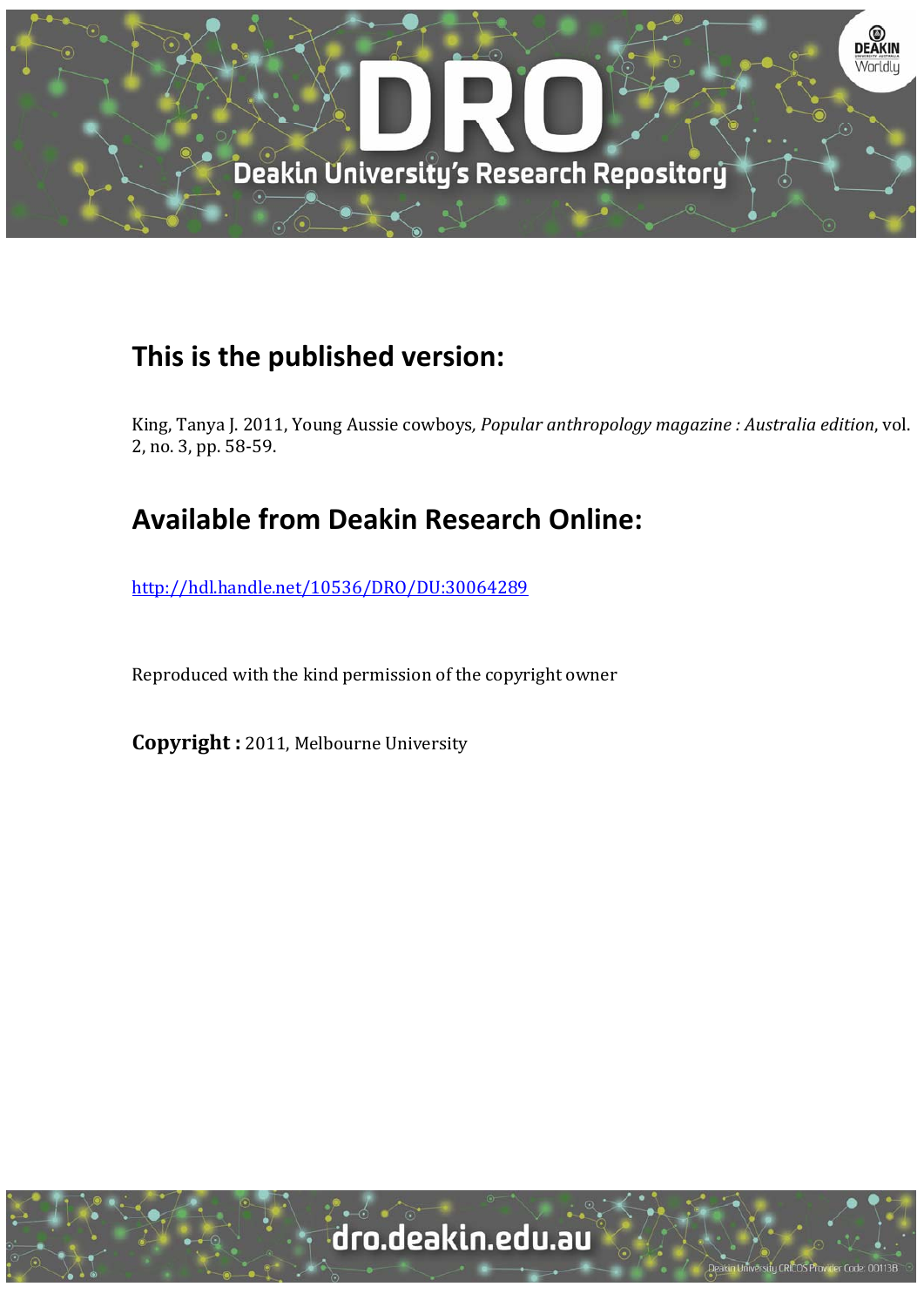

## **This is the published version:**

King, Tanya J. 2011, Young Aussie cowboys, *Popular anthropology magazine* : Australia edition, vol. 2, no. 3, pp. 58-59.

## **Available from Deakin Research Online:**

http://hdl.handle.net/10536/DRO/DU:30064289

Reproduced with the kind permission of the copyright owner

**Copyright** : 2011, Melbourne University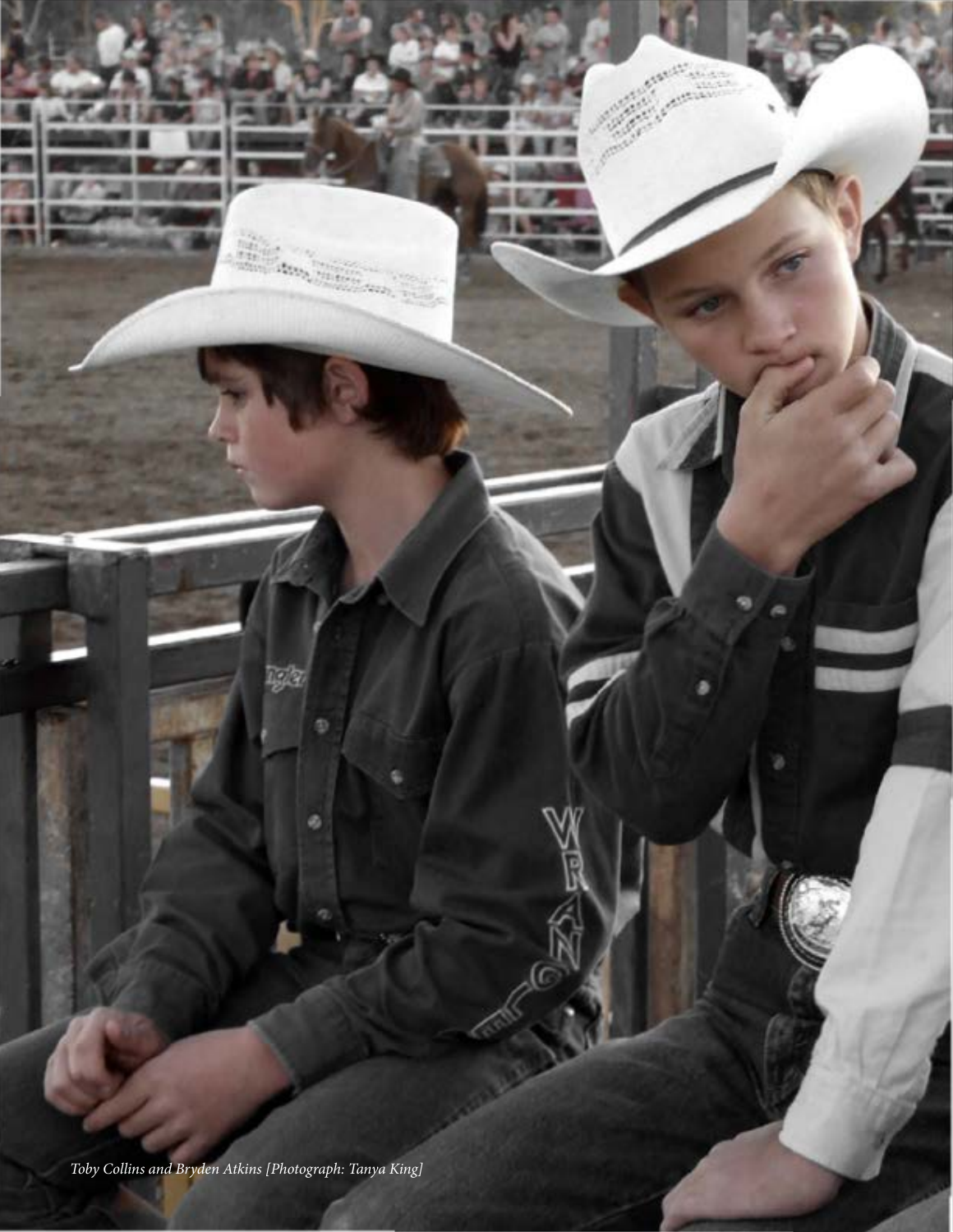Toby Collins and Bryden Atkins [Photograph: Tanya King]

**Press** 

9

ø

**SIGN**